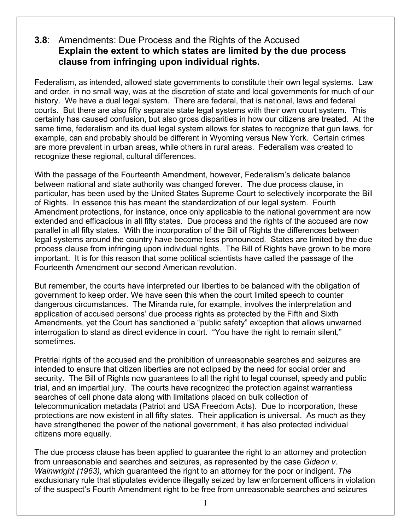## **3.8**: Amendments: Due Process and the Rights of the Accused **Explain the extent to which states are limited by the due process clause from infringing upon individual rights.**

Federalism, as intended, allowed state governments to constitute their own legal systems. Law and order, in no small way, was at the discretion of state and local governments for much of our history. We have a dual legal system. There are federal, that is national, laws and federal courts. But there are also fifty separate state legal systems with their own court system. This certainly has caused confusion, but also gross disparities in how our citizens are treated. At the same time, federalism and its dual legal system allows for states to recognize that gun laws, for example, can and probably should be different in Wyoming versus New York. Certain crimes are more prevalent in urban areas, while others in rural areas. Federalism was created to recognize these regional, cultural differences.

With the passage of the Fourteenth Amendment, however, Federalism's delicate balance between national and state authority was changed forever. The due process clause, in particular, has been used by the United States Supreme Court to selectively incorporate the Bill of Rights. In essence this has meant the standardization of our legal system. Fourth Amendment protections, for instance, once only applicable to the national government are now extended and efficacious in all fifty states. Due process and the rights of the accused are now parallel in all fifty states. With the incorporation of the Bill of Rights the differences between legal systems around the country have become less pronounced. States are limited by the due process clause from infringing upon individual rights. The Bill of Rights have grown to be more important. It is for this reason that some political scientists have called the passage of the Fourteenth Amendment our second American revolution.

But remember, the courts have interpreted our liberties to be balanced with the obligation of government to keep order. We have seen this when the court limited speech to counter dangerous circumstances. The Miranda rule, for example, involves the interpretation and application of accused persons' due process rights as protected by the Fifth and Sixth Amendments, yet the Court has sanctioned a "public safety" exception that allows unwarned interrogation to stand as direct evidence in court. "You have the right to remain silent," sometimes.

Pretrial rights of the accused and the prohibition of unreasonable searches and seizures are intended to ensure that citizen liberties are not eclipsed by the need for social order and security. The Bill of Rights now guarantees to all the right to legal counsel, speedy and public trial, and an impartial jury. The courts have recognized the protection against warrantless searches of cell phone data along with limitations placed on bulk collection of telecommunication metadata (Patriot and USA Freedom Acts). Due to incorporation, these protections are now existent in all fifty states. Their application is universal. As much as they have strengthened the power of the national government, it has also protected individual citizens more equally.

The due process clause has been applied to guarantee the right to an attorney and protection from unreasonable and searches and seizures, as represented by the case *Gideon v. Wainwright (1963),* which guaranteed the right to an attorney for the poor or indigent. *The* exclusionary rule that stipulates evidence illegally seized by law enforcement officers in violation of the suspect's Fourth Amendment right to be free from unreasonable searches and seizures

1